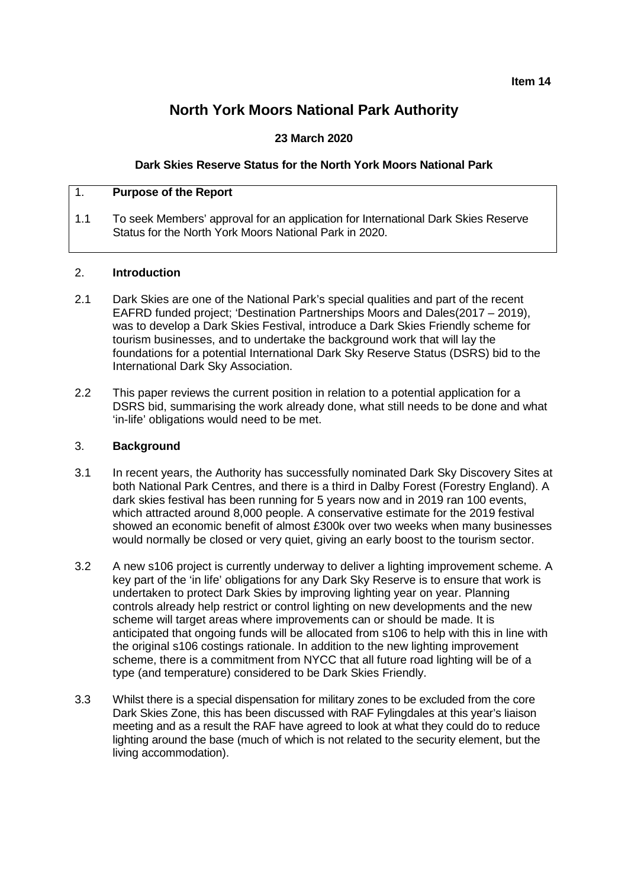# **North York Moors National Park Authority**

# **23 March 2020**

### **Dark Skies Reserve Status for the North York Moors National Park**

### 1. **Purpose of the Report**

1.1 To seek Members' approval for an application for International Dark Skies Reserve Status for the North York Moors National Park in 2020.

### 2. **Introduction**

- 2.1 Dark Skies are one of the National Park's special qualities and part of the recent EAFRD funded project; 'Destination Partnerships Moors and Dales(2017 – 2019), was to develop a Dark Skies Festival, introduce a Dark Skies Friendly scheme for tourism businesses, and to undertake the background work that will lay the foundations for a potential International Dark Sky Reserve Status (DSRS) bid to the International Dark Sky Association.
- 2.2 This paper reviews the current position in relation to a potential application for a DSRS bid, summarising the work already done, what still needs to be done and what 'in-life' obligations would need to be met.

#### 3. **Background**

- 3.1 In recent years, the Authority has successfully nominated Dark Sky Discovery Sites at both National Park Centres, and there is a third in Dalby Forest (Forestry England). A dark skies festival has been running for 5 years now and in 2019 ran 100 events, which attracted around 8,000 people. A conservative estimate for the 2019 festival showed an economic benefit of almost £300k over two weeks when many businesses would normally be closed or very quiet, giving an early boost to the tourism sector.
- 3.2 A new s106 project is currently underway to deliver a lighting improvement scheme. A key part of the 'in life' obligations for any Dark Sky Reserve is to ensure that work is undertaken to protect Dark Skies by improving lighting year on year. Planning controls already help restrict or control lighting on new developments and the new scheme will target areas where improvements can or should be made. It is anticipated that ongoing funds will be allocated from s106 to help with this in line with the original s106 costings rationale. In addition to the new lighting improvement scheme, there is a commitment from NYCC that all future road lighting will be of a type (and temperature) considered to be Dark Skies Friendly.
- 3.3 Whilst there is a special dispensation for military zones to be excluded from the core Dark Skies Zone, this has been discussed with RAF Fylingdales at this year's liaison meeting and as a result the RAF have agreed to look at what they could do to reduce lighting around the base (much of which is not related to the security element, but the living accommodation).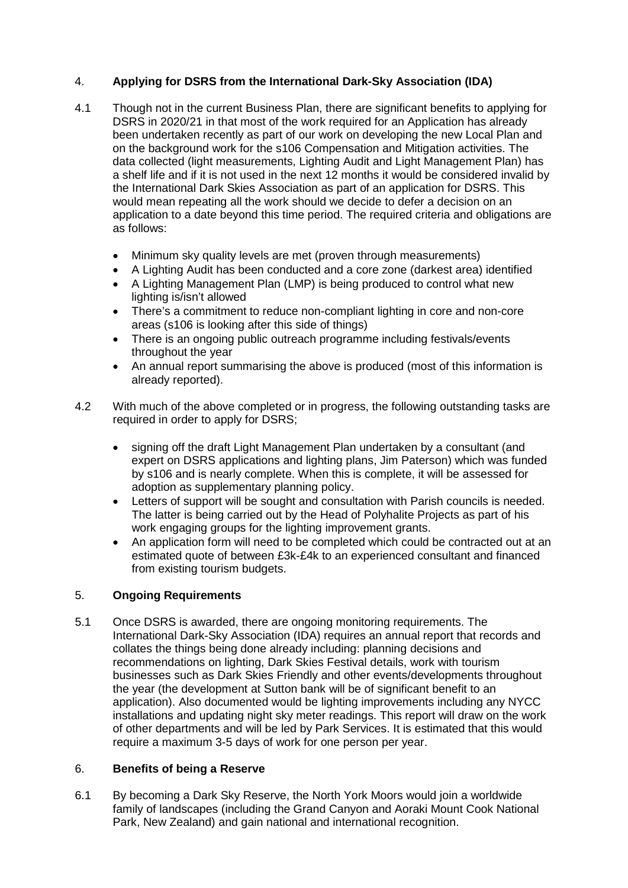# 4. **Applying for DSRS from the International Dark-Sky Association (IDA)**

- 4.1 Though not in the current Business Plan, there are significant benefits to applying for DSRS in 2020/21 in that most of the work required for an Application has already been undertaken recently as part of our work on developing the new Local Plan and on the background work for the s106 Compensation and Mitigation activities. The data collected (light measurements, Lighting Audit and Light Management Plan) has a shelf life and if it is not used in the next 12 months it would be considered invalid by the International Dark Skies Association as part of an application for DSRS. This would mean repeating all the work should we decide to defer a decision on an application to a date beyond this time period. The required criteria and obligations are as follows:
	- Minimum sky quality levels are met (proven through measurements)
	- A Lighting Audit has been conducted and a core zone (darkest area) identified
	- A Lighting Management Plan (LMP) is being produced to control what new lighting is/isn't allowed
	- There's a commitment to reduce non-compliant lighting in core and non-core areas (s106 is looking after this side of things)
	- There is an ongoing public outreach programme including festivals/events throughout the year
	- An annual report summarising the above is produced (most of this information is already reported).
- 4.2 With much of the above completed or in progress, the following outstanding tasks are required in order to apply for DSRS;
	- signing off the draft Light Management Plan undertaken by a consultant (and expert on DSRS applications and lighting plans, Jim Paterson) which was funded by s106 and is nearly complete. When this is complete, it will be assessed for adoption as supplementary planning policy.
	- Letters of support will be sought and consultation with Parish councils is needed. The latter is being carried out by the Head of Polyhalite Projects as part of his work engaging groups for the lighting improvement grants.
	- An application form will need to be completed which could be contracted out at an estimated quote of between £3k-£4k to an experienced consultant and financed from existing tourism budgets.

# 5. **Ongoing Requirements**

5.1 Once DSRS is awarded, there are ongoing monitoring requirements. The International Dark-Sky Association (IDA) requires an annual report that records and collates the things being done already including: planning decisions and recommendations on lighting, Dark Skies Festival details, work with tourism businesses such as Dark Skies Friendly and other events/developments throughout the year (the development at Sutton bank will be of significant benefit to an application). Also documented would be lighting improvements including any NYCC installations and updating night sky meter readings. This report will draw on the work of other departments and will be led by Park Services. It is estimated that this would require a maximum 3-5 days of work for one person per year.

## 6. **Benefits of being a Reserve**

6.1 By becoming a Dark Sky Reserve, the North York Moors would join a worldwide family of landscapes (including the Grand Canyon and Aoraki Mount Cook National Park, New Zealand) and gain national and international recognition.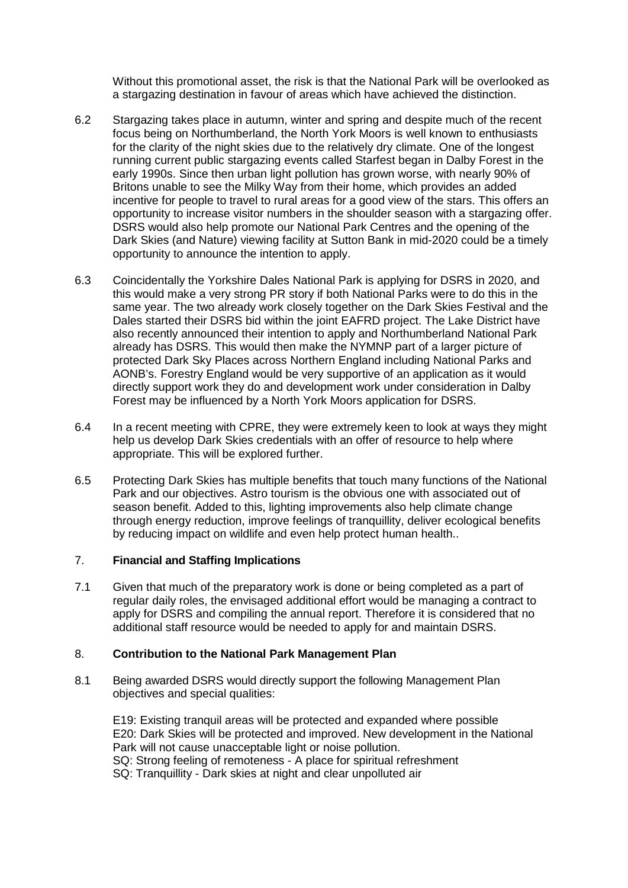Without this promotional asset, the risk is that the National Park will be overlooked as a stargazing destination in favour of areas which have achieved the distinction.

- 6.2 Stargazing takes place in autumn, winter and spring and despite much of the recent focus being on Northumberland, the North York Moors is well known to enthusiasts for the clarity of the night skies due to the relatively dry climate. One of the longest running current public stargazing events called Starfest began in Dalby Forest in the early 1990s. Since then urban light pollution has grown worse, with nearly 90% of Britons unable to see the Milky Way from their home, which provides an added incentive for people to travel to rural areas for a good view of the stars. This offers an opportunity to increase visitor numbers in the shoulder season with a stargazing offer. DSRS would also help promote our National Park Centres and the opening of the Dark Skies (and Nature) viewing facility at Sutton Bank in mid-2020 could be a timely opportunity to announce the intention to apply.
- 6.3 Coincidentally the Yorkshire Dales National Park is applying for DSRS in 2020, and this would make a very strong PR story if both National Parks were to do this in the same year. The two already work closely together on the Dark Skies Festival and the Dales started their DSRS bid within the joint EAFRD project. The Lake District have also recently announced their intention to apply and Northumberland National Park already has DSRS. This would then make the NYMNP part of a larger picture of protected Dark Sky Places across Northern England including National Parks and AONB's. Forestry England would be very supportive of an application as it would directly support work they do and development work under consideration in Dalby Forest may be influenced by a North York Moors application for DSRS.
- 6.4 In a recent meeting with CPRE, they were extremely keen to look at ways they might help us develop Dark Skies credentials with an offer of resource to help where appropriate. This will be explored further.
- 6.5 Protecting Dark Skies has multiple benefits that touch many functions of the National Park and our objectives. Astro tourism is the obvious one with associated out of season benefit. Added to this, lighting improvements also help climate change through energy reduction, improve feelings of tranquillity, deliver ecological benefits by reducing impact on wildlife and even help protect human health..

### 7. **Financial and Staffing Implications**

7.1 Given that much of the preparatory work is done or being completed as a part of regular daily roles, the envisaged additional effort would be managing a contract to apply for DSRS and compiling the annual report. Therefore it is considered that no additional staff resource would be needed to apply for and maintain DSRS.

## 8. **Contribution to the National Park Management Plan**

8.1 Being awarded DSRS would directly support the following Management Plan objectives and special qualities:

E19: Existing tranquil areas will be protected and expanded where possible E20: Dark Skies will be protected and improved. New development in the National Park will not cause unacceptable light or noise pollution. SQ: Strong feeling of remoteness - A place for spiritual refreshment SQ: Tranquillity - Dark skies at night and clear unpolluted air